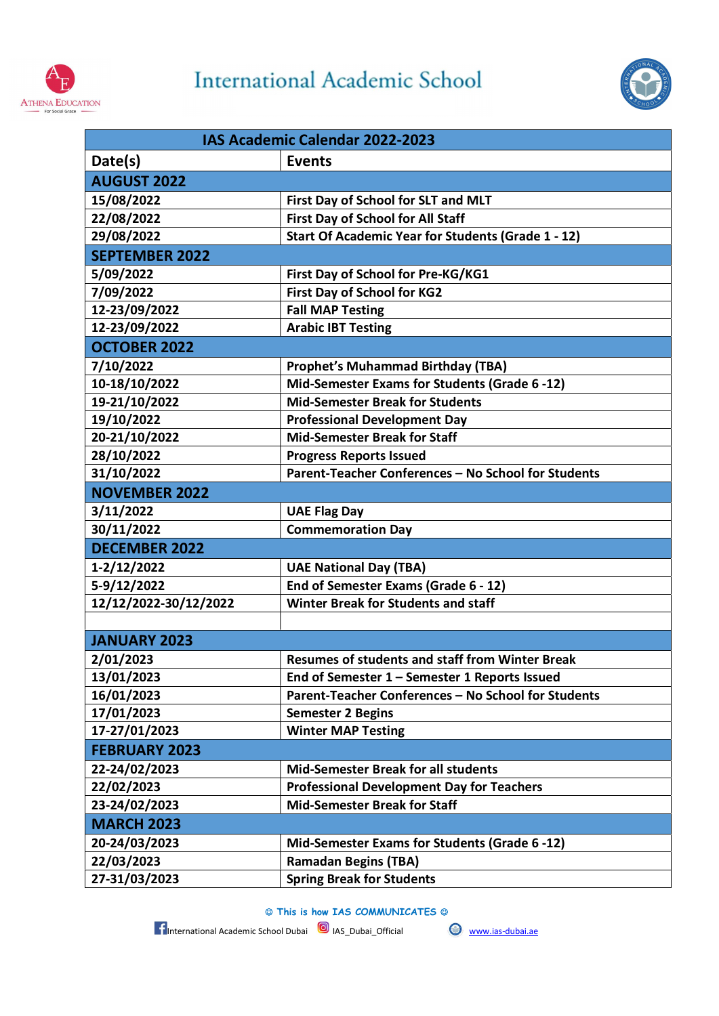

## **International Academic School**



|                       | IAS Academic Calendar 2022-2023                        |
|-----------------------|--------------------------------------------------------|
| Date(s)               | <b>Events</b>                                          |
| <b>AUGUST 2022</b>    |                                                        |
| 15/08/2022            | First Day of School for SLT and MLT                    |
| 22/08/2022            | <b>First Day of School for All Staff</b>               |
| 29/08/2022            | Start Of Academic Year for Students (Grade 1 - 12)     |
| <b>SEPTEMBER 2022</b> |                                                        |
| 5/09/2022             | First Day of School for Pre-KG/KG1                     |
| 7/09/2022             | <b>First Day of School for KG2</b>                     |
| 12-23/09/2022         | <b>Fall MAP Testing</b>                                |
| 12-23/09/2022         | <b>Arabic IBT Testing</b>                              |
| <b>OCTOBER 2022</b>   |                                                        |
| 7/10/2022             | <b>Prophet's Muhammad Birthday (TBA)</b>               |
| 10-18/10/2022         | Mid-Semester Exams for Students (Grade 6 -12)          |
| 19-21/10/2022         | <b>Mid-Semester Break for Students</b>                 |
| 19/10/2022            | <b>Professional Development Day</b>                    |
| 20-21/10/2022         | <b>Mid-Semester Break for Staff</b>                    |
| 28/10/2022            | <b>Progress Reports Issued</b>                         |
| 31/10/2022            | Parent-Teacher Conferences - No School for Students    |
| <b>NOVEMBER 2022</b>  |                                                        |
| 3/11/2022             | <b>UAE Flag Day</b>                                    |
| 30/11/2022            | <b>Commemoration Day</b>                               |
| <b>DECEMBER 2022</b>  |                                                        |
| 1-2/12/2022           | <b>UAE National Day (TBA)</b>                          |
| 5-9/12/2022           | End of Semester Exams (Grade 6 - 12)                   |
| 12/12/2022-30/12/2022 | <b>Winter Break for Students and staff</b>             |
|                       |                                                        |
| <b>JANUARY 2023</b>   |                                                        |
| 2/01/2023             | <b>Resumes of students and staff from Winter Break</b> |
| 13/01/2023            | End of Semester 1 - Semester 1 Reports Issued          |
| 16/01/2023            | Parent-Teacher Conferences - No School for Students    |
| 17/01/2023            | <b>Semester 2 Begins</b>                               |
| 17-27/01/2023         | <b>Winter MAP Testing</b>                              |
| <b>FEBRUARY 2023</b>  |                                                        |
| 22-24/02/2023         | <b>Mid-Semester Break for all students</b>             |
| 22/02/2023            | <b>Professional Development Day for Teachers</b>       |
| 23-24/02/2023         | <b>Mid-Semester Break for Staff</b>                    |
| <b>MARCH 2023</b>     |                                                        |
| 20-24/03/2023         | Mid-Semester Exams for Students (Grade 6-12)           |
| 22/03/2023            | <b>Ramadan Begins (TBA)</b>                            |
| 27-31/03/2023         | <b>Spring Break for Students</b>                       |

© This is how IAS COMMUNICATES ©

**International Academic School Dubai I**IAS\_Dubai\_Official **C** www.ias-dubai.ae